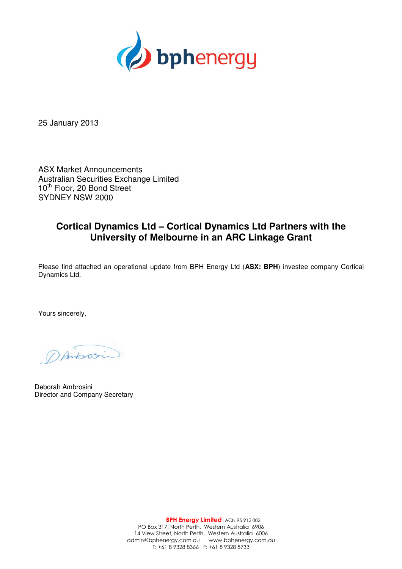

25 January 2013

ASX Market Announcements Australian Securities Exchange Limited 10<sup>th</sup> Floor, 20 Bond Street SYDNEY NSW 2000

## **Cortical Dynamics Ltd – Cortical Dynamics Ltd Partners with the University of Melbourne in an ARC Linkage Grant**

Please find attached an operational update from BPH Energy Ltd (**ASX: BPH**) investee company Cortical Dynamics Ltd.

Yours sincerely,

Dantonosin

Deborah Ambrosini Director and Company Secretary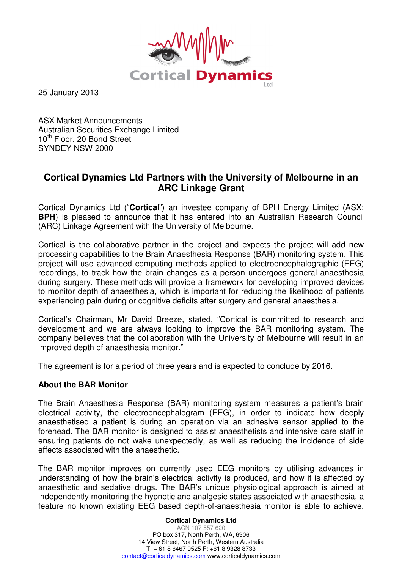

25 January 2013

ASX Market Announcements Australian Securities Exchange Limited 10<sup>th</sup> Floor, 20 Bond Street SYNDEY NSW 2000

## **Cortical Dynamics Ltd Partners with the University of Melbourne in an ARC Linkage Grant**

Cortical Dynamics Ltd ("**Cortica**l") an investee company of BPH Energy Limited (ASX: **BPH**) is pleased to announce that it has entered into an Australian Research Council (ARC) Linkage Agreement with the University of Melbourne.

Cortical is the collaborative partner in the project and expects the project will add new processing capabilities to the Brain Anaesthesia Response (BAR) monitoring system. This project will use advanced computing methods applied to electroencephalographic (EEG) recordings, to track how the brain changes as a person undergoes general anaesthesia during surgery. These methods will provide a framework for developing improved devices to monitor depth of anaesthesia, which is important for reducing the likelihood of patients experiencing pain during or cognitive deficits after surgery and general anaesthesia.

Cortical's Chairman, Mr David Breeze, stated, "Cortical is committed to research and development and we are always looking to improve the BAR monitoring system. The company believes that the collaboration with the University of Melbourne will result in an improved depth of anaesthesia monitor."

The agreement is for a period of three years and is expected to conclude by 2016.

## **About the BAR Monitor**

The Brain Anaesthesia Response (BAR) monitoring system measures a patient's brain electrical activity, the electroencephalogram (EEG), in order to indicate how deeply anaesthetised a patient is during an operation via an adhesive sensor applied to the forehead. The BAR monitor is designed to assist anaesthetists and intensive care staff in ensuring patients do not wake unexpectedly, as well as reducing the incidence of side effects associated with the anaesthetic.

The BAR monitor improves on currently used EEG monitors by utilising advances in understanding of how the brain's electrical activity is produced, and how it is affected by anaesthetic and sedative drugs. The BAR's unique physiological approach is aimed at independently monitoring the hypnotic and analgesic states associated with anaesthesia, a feature no known existing EEG based depth-of-anaesthesia monitor is able to achieve.